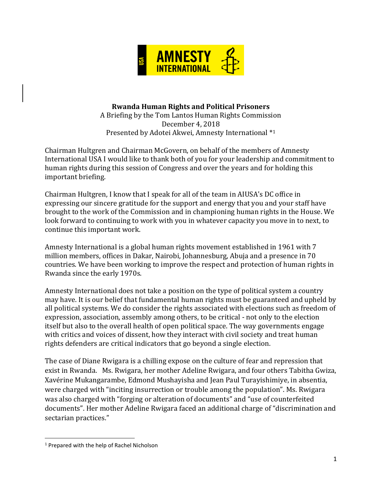

# **Rwanda Human Rights and Political Prisoners**

A Briefing by the Tom Lantos Human Rights Commission December 4, 2018 Presented by Adotei Akwei, Amnesty International \* 1

Chairman Hultgren and Chairman McGovern, on behalf of the members of Amnesty International USA I would like to thank both of you for your leadership and commitment to human rights during this session of Congress and over the years and for holding this important briefing.

Chairman Hultgren, I know that I speak for all of the team in AIUSA's DC office in expressing our sincere gratitude for the support and energy that you and your staff have brought to the work of the Commission and in championing human rights in the House. We look forward to continuing to work with you in whatever capacity you move in to next, to continue this important work.

Amnesty International is a global human rights movement established in 1961 with 7 million members, offices in Dakar, Nairobi, Johannesburg, Abuja and a presence in 70 countries. We have been working to improve the respect and protection of human rights in Rwanda since the early 1970s.

Amnesty International does not take a position on the type of political system a country may have. It is our belief that fundamental human rights must be guaranteed and upheld by all political systems. We do consider the rights associated with elections such as freedom of expression, association, assembly among others, to be critical - not only to the election itself but also to the overall health of open political space. The way governments engage with critics and voices of dissent, how they interact with civil society and treat human rights defenders are critical indicators that go beyond a single election.

The case of Diane Rwigara is a chilling expose on the culture of fear and repression that exist in Rwanda. Ms. Rwigara, her mother Adeline Rwigara, and four others Tabitha Gwiza, Xavérine Mukangarambe, Edmond Mushayisha and Jean Paul Turayishimiye, in absentia, were charged with "inciting insurrection or trouble among the population". Ms. Rwigara was also charged with "forging or alteration of documents" and "use of counterfeited documents". Her mother Adeline Rwigara faced an additional charge of "discrimination and sectarian practices."

 $\overline{\phantom{a}}$ 

<sup>1</sup> Prepared with the help of Rachel Nicholson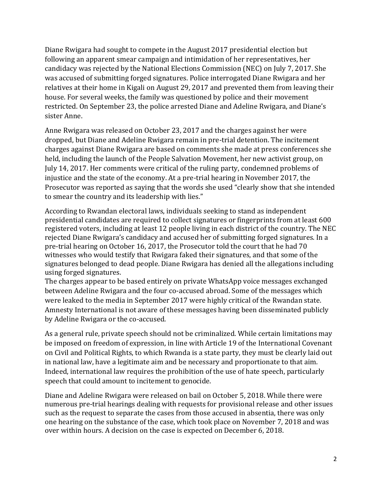Diane Rwigara had sought to compete in the August 2017 presidential election but following an apparent smear campaign and intimidation of her representatives, her candidacy was rejected by the National Elections Commission (NEC) on July 7, 2017. She was accused of submitting forged signatures. Police interrogated Diane Rwigara and her relatives at their home in Kigali on August 29, 2017 and prevented them from leaving their house. For several weeks, the family was questioned by police and their movement restricted. On September 23, the police arrested Diane and Adeline Rwigara, and Diane's sister Anne.

Anne Rwigara was released on October 23, 2017 and the charges against her were dropped, but Diane and Adeline Rwigara remain in pre-trial detention. The incitement charges against Diane Rwigara are based on comments she made at press conferences she held, including the launch of the People Salvation Movement, her new activist group, on July 14, 2017. Her comments were critical of the ruling party, condemned problems of injustice and the state of the economy. At a pre-trial hearing in November 2017, the Prosecutor was reported as saying that the words she used "clearly show that she intended to smear the country and its leadership with lies."

According to Rwandan electoral laws, individuals seeking to stand as independent presidential candidates are required to collect signatures or fingerprints from at least 600 registered voters, including at least 12 people living in each district of the country. The NEC rejected Diane Rwigara's candidacy and accused her of submitting forged signatures. In a pre-trial hearing on October 16, 2017, the Prosecutor told the court that he had 70 witnesses who would testify that Rwigara faked their signatures, and that some of the signatures belonged to dead people. Diane Rwigara has denied all the allegations including using forged signatures.

The charges appear to be based entirely on private WhatsApp voice messages exchanged between Adeline Rwigara and the four co-accused abroad. Some of the messages which were leaked to the media in September 2017 were highly critical of the Rwandan state. Amnesty International is not aware of these messages having been disseminated publicly by Adeline Rwigara or the co-accused.

As a general rule, private speech should not be criminalized. While certain limitations may be imposed on freedom of expression, in line with Article 19 of the International Covenant on Civil and Political Rights, to which Rwanda is a state party, they must be clearly laid out in national law, have a legitimate aim and be necessary and proportionate to that aim. Indeed, international law requires the prohibition of the use of hate speech, particularly speech that could amount to incitement to genocide.

Diane and Adeline Rwigara were released on bail on October 5, 2018. While there were numerous pre-trial hearings dealing with requests for provisional release and other issues such as the request to separate the cases from those accused in absentia, there was only one hearing on the substance of the case, which took place on November 7, 2018 and was over within hours. A decision on the case is expected on December 6, 2018.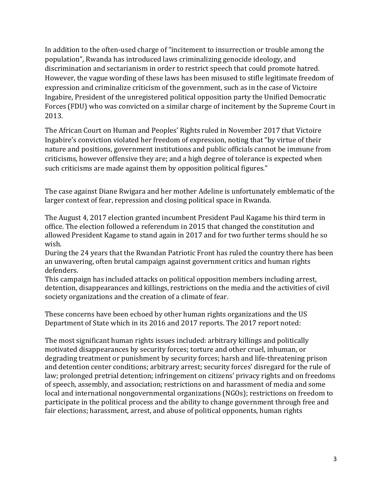In addition to the often-used charge of "incitement to insurrection or trouble among the population", Rwanda has introduced laws criminalizing genocide ideology, and discrimination and sectarianism in order to restrict speech that could promote hatred. However, the vague wording of these laws has been misused to stifle legitimate freedom of expression and criminalize criticism of the government, such as in the case of Victoire Ingabire, President of the unregistered political opposition party the Unified Democratic Forces (FDU) who was convicted on a similar charge of incitement by the Supreme Court in 2013.

The African Court on Human and Peoples' Rights ruled in November 2017 that Victoire Ingabire's conviction violated her freedom of expression, noting that "by virtue of their nature and positions, government institutions and public officials cannot be immune from criticisms, however offensive they are; and a high degree of tolerance is expected when such criticisms are made against them by opposition political figures."

The case against Diane Rwigara and her mother Adeline is unfortunately emblematic of the larger context of fear, repression and closing political space in Rwanda.

The August 4, 2017 election granted incumbent President Paul Kagame his third term in office. The election followed a referendum in 2015 that changed the constitution and allowed President Kagame to stand again in 2017 and for two further terms should he so wish.

During the 24 years that the Rwandan Patriotic Front has ruled the country there has been an unwavering, often brutal campaign against government critics and human rights defenders.

This campaign has included attacks on political opposition members including arrest, detention, disappearances and killings, restrictions on the media and the activities of civil society organizations and the creation of a climate of fear.

These concerns have been echoed by other human rights organizations and the US Department of State which in its 2016 and 2017 reports. The 2017 report noted:

The most significant human rights issues included: arbitrary killings and politically motivated disappearances by security forces; torture and other cruel, inhuman, or degrading treatment or punishment by security forces; harsh and life-threatening prison and detention center conditions; arbitrary arrest; security forces' disregard for the rule of law; prolonged pretrial detention; infringement on citizens' privacy rights and on freedoms of speech, assembly, and association; restrictions on and harassment of media and some local and international nongovernmental organizations (NGOs); restrictions on freedom to participate in the political process and the ability to change government through free and fair elections; harassment, arrest, and abuse of political opponents, human rights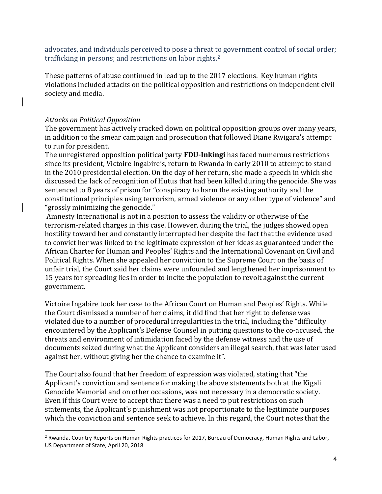advocates, and individuals perceived to pose a threat to government control of social order; trafficking in persons; and restrictions on labor rights.<sup>2</sup>

These patterns of abuse continued in lead up to the 2017 elections. Key human rights violations included attacks on the political opposition and restrictions on independent civil society and media.

# *Attacks on Political Opposition*

 $\overline{\phantom{a}}$ 

The government has actively cracked down on political opposition groups over many years, in addition to the smear campaign and prosecution that followed Diane Rwigara's attempt to run for president.

The unregistered opposition political party **FDU-Inkingi** has faced numerous restrictions since its president, Victoire Ingabire's, return to Rwanda in early 2010 to attempt to stand in the 2010 presidential election. On the day of her return, she made a speech in which she discussed the lack of recognition of Hutus that had been killed during the genocide. She was sentenced to 8 years of prison for "conspiracy to harm the existing authority and the constitutional principles using terrorism, armed violence or any other type of violence" and "grossly minimizing the genocide."

Amnesty International is not in a position to assess the validity or otherwise of the terrorism-related charges in this case. However, during the trial, the judges showed open hostility toward her and constantly interrupted her despite the fact that the evidence used to convict her was linked to the legitimate expression of her ideas as guaranteed under the African Charter for Human and Peoples' Rights and the International Covenant on Civil and Political Rights. When she appealed her conviction to the Supreme Court on the basis of unfair trial, the Court said her claims were unfounded and lengthened her imprisonment to 15 years for spreading lies in order to incite the population to revolt against the current government.

Victoire Ingabire took her case to the African Court on Human and Peoples' Rights. While the Court dismissed a number of her claims, it did find that her right to defense was violated due to a number of procedural irregularities in the trial, including the "difficulty encountered by the Applicant's Defense Counsel in putting questions to the co-accused, the threats and environment of intimidation faced by the defense witness and the use of documents seized during what the Applicant considers an illegal search, that was later used against her, without giving her the chance to examine it".

The Court also found that her freedom of expression was violated, stating that "the Applicant's conviction and sentence for making the above statements both at the Kigali Genocide Memorial and on other occasions, was not necessary in a democratic society. Even if this Court were to accept that there was a need to put restrictions on such statements, the Applicant's punishment was not proportionate to the legitimate purposes which the conviction and sentence seek to achieve. ln this regard, the Court notes that the

<sup>&</sup>lt;sup>2</sup> Rwanda, Country Reports on Human Rights practices for 2017, Bureau of Democracy, Human Rights and Labor, US Department of State, April 20, 2018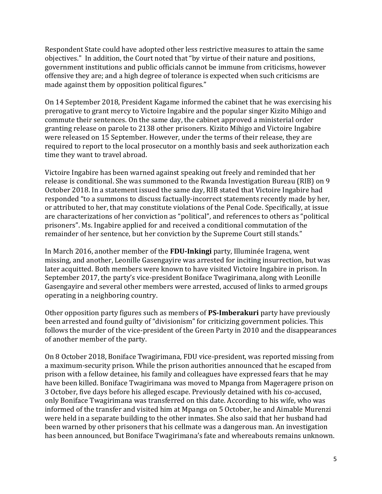Respondent State could have adopted other less restrictive measures to attain the same objectives." In addition, the Court noted that "by virtue of their nature and positions, government institutions and public officials cannot be immune from criticisms, however offensive they are; and a high degree of tolerance is expected when such criticisms are made against them by opposition political figures."

On 14 September 2018, President Kagame informed the cabinet that he was exercising his prerogative to grant mercy to Victoire Ingabire and the popular singer Kizito Mihigo and commute their sentences. On the same day, the cabinet approved a ministerial order granting release on parole to 2138 other prisoners. Kizito Mihigo and Victoire Ingabire were released on 15 September. However, under the terms of their release, they are required to report to the local prosecutor on a monthly basis and seek authorization each time they want to travel abroad.

Victoire Ingabire has been warned against speaking out freely and reminded that her release is conditional. She was summoned to the Rwanda Investigation Bureau (RIB) on 9 October 2018. In a statement issued the same day, RIB stated that Victoire Ingabire had responded "to a summons to discuss factually-incorrect statements recently made by her, or attributed to her, that may constitute violations of the Penal Code. Specifically, at issue are characterizations of her conviction as "political", and references to others as "political prisoners". Ms. Ingabire applied for and received a conditional commutation of the remainder of her sentence, but her conviction by the Supreme Court still stands."

In March 2016, another member of the **FDU-Inkingi** party, Illuminée Iragena, went missing, and another, Leonille Gasengayire was arrested for inciting insurrection, but was later acquitted. Both members were known to have visited Victoire Ingabire in prison. In September 2017, the party's vice-president Boniface Twagirimana, along with Leonille Gasengayire and several other members were arrested, accused of links to armed groups operating in a neighboring country.

Other opposition party figures such as members of **PS-Imberakuri** party have previously been arrested and found guilty of "divisionism" for criticizing government policies. This follows the murder of the vice-president of the Green Party in 2010 and the disappearances of another member of the party.

On 8 October 2018, Boniface Twagirimana, FDU vice-president, was reported missing from a maximum-security prison. While the prison authorities announced that he escaped from prison with a fellow detainee, his family and colleagues have expressed fears that he may have been killed. Boniface Twagirimana was moved to Mpanga from Mageragere prison on 3 October, five days before his alleged escape. Previously detained with his co-accused, only Boniface Twagirimana was transferred on this date. According to his wife, who was informed of the transfer and visited him at Mpanga on 5 October, he and Aimable Murenzi were held in a separate building to the other inmates. She also said that her husband had been warned by other prisoners that his cellmate was a dangerous man. An investigation has been announced, but Boniface Twagirimana's fate and whereabouts remains unknown.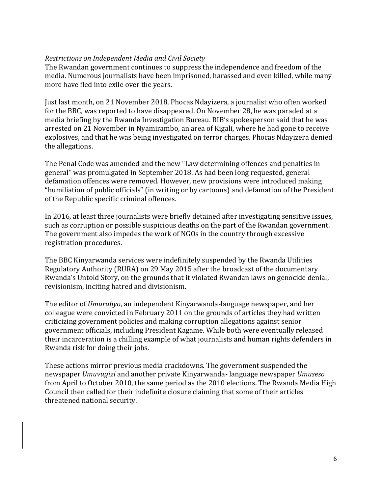#### *Restrictions on Independent Media and Civil Society*

The Rwandan government continues to suppress the independence and freedom of the media. Numerous journalists have been imprisoned, harassed and even killed, while many more have fled into exile over the years.

Just last month, on 21 November 2018, Phocas Ndayizera, a journalist who often worked for the BBC, was reported to have disappeared. On November 28, he was paraded at a media briefing by the Rwanda Investigation Bureau. RIB's spokesperson said that he was arrested on 21 November in Nyamirambo, an area of Kigali, where he had gone to receive explosives, and that he was being investigated on terror charges. Phocas Ndayizera denied the allegations.

The Penal Code was amended and the new "Law determining offences and penalties in general" was promulgated in September 2018. As had been long requested, general defamation offences were removed. However, new provisions were introduced making "humiliation of public officials" (in writing or by cartoons) and defamation of the President of the Republic specific criminal offences.

In 2016, at least three journalists were briefly detained after investigating sensitive issues, such as corruption or possible suspicious deaths on the part of the Rwandan government. The government also impedes the work of NGOs in the country through excessive registration procedures.

The BBC Kinyarwanda services were indefinitely suspended by the Rwanda Utilities Regulatory Authority (RURA) on 29 May 2015 after the broadcast of the documentary Rwanda's Untold Story, on the grounds that it violated Rwandan laws on genocide denial, revisionism, inciting hatred and divisionism.

The editor of *Umurabyo*, an independent Kinyarwanda-language newspaper, and her colleague were convicted in February 2011 on the grounds of articles they had written criticizing government policies and making corruption allegations against senior government officials, including President Kagame. While both were eventually released their incarceration is a chilling example of what journalists and human rights defenders in Rwanda risk for doing their jobs.

These actions mirror previous media crackdowns. The government suspended the newspaper *Umuvugizi* and another private Kinyarwanda- language newspaper *Umuseso*  from April to October 2010, the same period as the 2010 elections. The Rwanda Media High Council then called for their indefinite closure claiming that some of their articles threatened national security.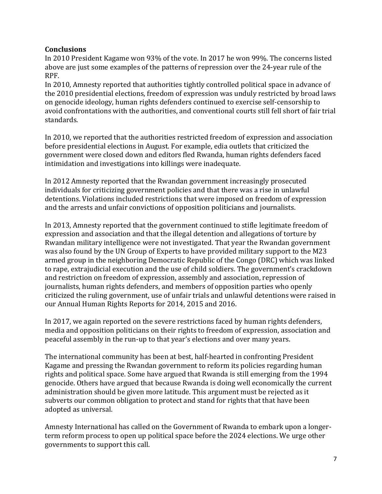# **Conclusions**

In 2010 President Kagame won 93% of the vote. In 2017 he won 99%. The concerns listed above are just some examples of the patterns of repression over the 24-year rule of the RPF.

In 2010, Amnesty reported that authorities tightly controlled political space in advance of the 2010 presidential elections, freedom of expression was unduly restricted by broad laws on genocide ideology, human rights defenders continued to exercise self-censorship to avoid confrontations with the authorities, and conventional courts still fell short of fair trial standards.

In 2010, we reported that the authorities restricted freedom of expression and association before presidential elections in August. For example, edia outlets that criticized the government were closed down and editors fled Rwanda, human rights defenders faced intimidation and investigations into killings were inadequate.

In 2012 Amnesty reported that the Rwandan government increasingly prosecuted individuals for criticizing government policies and that there was a rise in unlawful detentions. Violations included restrictions that were imposed on freedom of expression and the arrests and unfair convictions of opposition politicians and journalists.

In 2013, Amnesty reported that the government continued to stifle legitimate freedom of expression and association and that the illegal detention and allegations of torture by Rwandan military intelligence were not investigated. That year the Rwandan government was also found by the UN Group of Experts to have provided military support to the M23 armed group in the neighboring Democratic Republic of the Congo (DRC) which was linked to rape, extrajudicial execution and the use of child soldiers. The government's crackdown and restriction on freedom of expression, assembly and association, repression of journalists, human rights defenders, and members of opposition parties who openly criticized the ruling government, use of unfair trials and unlawful detentions were raised in our Annual Human Rights Reports for 2014, 2015 and 2016.

In 2017, we again reported on the severe restrictions faced by human rights defenders, media and opposition politicians on their rights to freedom of expression, association and peaceful assembly in the run-up to that year's elections and over many years.

The international community has been at best, half-hearted in confronting President Kagame and pressing the Rwandan government to reform its policies regarding human rights and political space. Some have argued that Rwanda is still emerging from the 1994 genocide. Others have argued that because Rwanda is doing well economically the current administration should be given more latitude. This argument must be rejected as it subverts our common obligation to protect and stand for rights that that have been adopted as universal.

Amnesty International has called on the Government of Rwanda to embark upon a longerterm reform process to open up political space before the 2024 elections. We urge other governments to support this call.